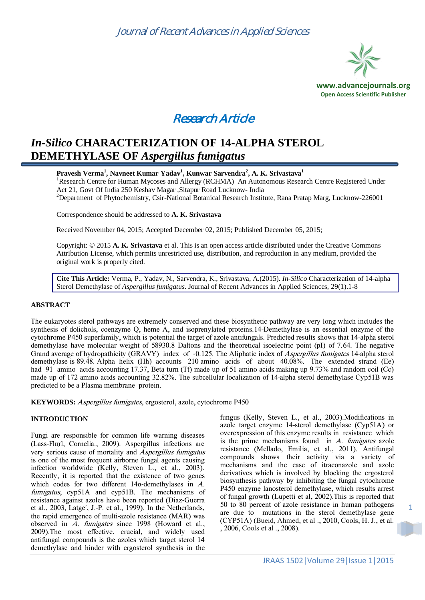



# *In-Silico* **CHARACTERIZATION OF 14-ALPHA STEROL DEMETHYLASE OF** *Aspergillus fumigatus*

**Pravesh Verma<sup>1</sup> , Navneet Kumar Yadav<sup>1</sup> , Kunwar Sarvendra<sup>2</sup> , A. K. Srivastava<sup>1</sup>** <sup>1</sup>Research Centre for Human Mycoses and Allergy (RCHMA) An Autonomous Research Centre Registered Under Act 21, Govt Of India 250 Keshav Magar ,Sitapur Road Lucknow- India <sup>2</sup>Department of Phytochemistry, Csir-National Botanical Research Institute, Rana Pratap Marg, Lucknow-226001

Correspondence should be addressed to **A. K. Srivastava**

Received November 04, 2015; Accepted December 02, 2015; Published December 05, 2015;

Copyright: © 2015 **A. K. Srivastava** et al. This is an open access article distributed under the Creative Commons Attribution License, which permits unrestricted use, distribution, and reproduction in any medium, provided the original work is properly cited.

**Cite This Article:** Verma, P., Yadav, N., Sarvendra, K., Srivastava, A.(2015). *In-Silico* Characterization of 14-alpha Sterol Demethylase of *Aspergillus fumigatus*. Journal of Recent Advances in Applied Sciences, 29(1).1-8

### **ABSTRACT**

The eukaryotes sterol pathways are extremely conserved and these biosynthetic pathway are very long which includes the synthesis of dolichols, coenzyme Q, heme A, and isoprenylated proteins.14-Demethylase is an essential enzyme of the cytochrome P450 superfamily, which is potential the target of azole antifungals. Predicted results shows that 14-alpha sterol demethylase have molecular weight of 58930.8 Daltons and the theoretical isoelectric point (pI) of 7.64. The negative Grand average of hydropathicity (GRAVY) index of -0.125. The Aliphatic index of *Aspergillus fumigates* 14-alpha sterol demethylase is 89.48. Alpha helix (Hh) accounts 210 amino acids of about 40.08%. The extended strand (Ee) had 91 amino acids accounting 17.37, Beta turn (Tt) made up of 51 amino acids making up 9.73% and random coil (Cc) made up of 172 amino acids accounting 32.82%. The subcellular localization of 14-alpha sterol demethylase Cyp51B was predicted to be a Plasma membrane protein.

**KEYWORDS:** Aspergillus fumigates, ergosterol, azole, cytochrome P450

## **INTRODUCTION**

Fungi are responsible for common life warning diseases (Lass‐Flörl, Cornelia., 2009). Aspergillus infections are very serious cause of mortality and Aspergillus fumigatus is one of the most frequent airborne fungal agents causing infection worldwide (Kelly, Steven L., et al., 2003). Recently, it is reported that the existence of two genes which codes for two different  $14\alpha$ -demethylases in A. fumigatus, cyp51A and cyp51B. The mechanisms of resistance against azoles have been reported (Diaz-Guerra et al., 2003, Latge´, J.-P. et al., 1999). In the Netherlands, the rapid emergence of multi-azole resistance (MAR) was observed in A. fumigates since 1998 (Howard et al., 2009).The most effective, crucial, and widely used antifungal compounds is the azoles which target sterol 14 demethylase and hinder with ergosterol synthesis in the

fungus (Kelly, Steven L., et al., 2003).Modifications in azole target enzyme 14-sterol demethylase (Cyp51A) or overexpression of this enzyme results in resistance which is the prime mechanisms found in  $A$ . fumigates azole resistance (Mellado, Emilia, et al., 2011). Antifungal compounds shows their activity via a variety of mechanisms and the case of itraconazole and azole derivatives which is involved by blocking the ergosterol biosynthesis pathway by inhibiting the fungal cytochrome P450 enzyme lanosterol demethylase, which results arrest of fungal growth (Lupetti et al, 2002).This is reported that 50 to 80 percent of azole resistance in human pathogens are due to mutations in the sterol demethylase gene (CYP51A) (Bueid, Ahmed, et al ., 2010, Cools, H. J., et al. , 2006, Cools et al ., 2008).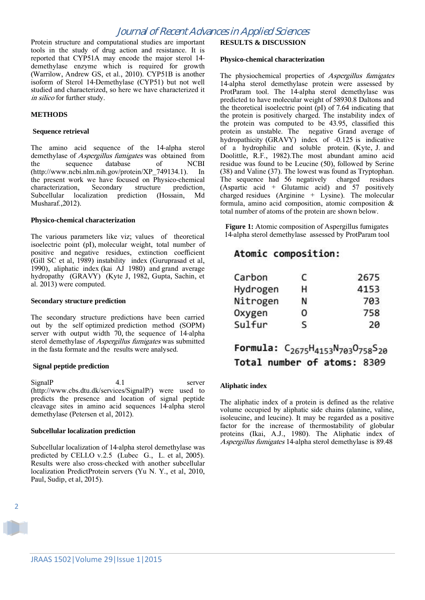## Journal of Recent Advances in Applied Sciences

Protein structure and computational studies are important tools in the study of drug action and resistance. It is reported that CYP51A may encode the major sterol 14 demethylase enzyme which is required for growth (Warrilow, Andrew GS, et al., 2010). CYP51B is another isoform of Sterol 14-Demethylase (CYP51) but not well studied and characterized, so here we have characterized it in silico for further study.

### **METHODS**

#### **Sequence retrieval**

The amino acid sequence of the 14-alpha sterol demethylase of *Aspergillus fumigates* was obtained from<br>the sequence database of NCBI the sequence database of NCBI (http://www.ncbi.nlm.nih.gov/protein/XP\_749134.1). In the present work we have focused on Physico-chemical characterization, Secondary structure prediction, Subcellular localization prediction (Hossain, Md Musharaf.,2012).

#### **Physico-chemical characterization**

The various parameters like viz; values of theoretical isoelectric point (pI), molecular weight, total number of positive and negative residues, extinction coefficient (Gill SC et al, 1989) instability index (Guruprasad et al, 1990), aliphatic index (kai AJ 1980) and grand average hydropathy (GRAVY) (Kyte J, 1982, Gupta, Sachin, et al. 2013) were computed.

### **Secondary structure prediction**

The secondary structure predictions have been carried out by the self optimized prediction method (SOPM) server with output width 70, the sequence of 14-alpha sterol demethylase of *Aspergillus fumigates* was submitted in the fasta formate and the results were analysed.

### **Signal peptide prediction**

SignalP 4.1 server (http://www.cbs.dtu.dk/services/SignalP/) were used to predicts the presence and location of signal peptide cleavage sites in amino acid sequences 14-alpha sterol demethylase (Petersen et al, 2012).

### **Subcellular localization prediction**

Subcellular localization of 14-alpha sterol demethylase was predicted by CELLO v.2.5 (Lubec G., L. et al, 2005). Results were also cross-checked with another subcellular localization PredictProtein servers (Yu N. Y., et al, 2010, Paul, Sudip, et al, 2015).

# **RESULTS & DISCUSSION**

#### **Physico-chemical characterization**

The physiochemical properties of *Aspergillus fumigates* 14-alpha sterol demethylase protein were assessed by ProtParam tool. The 14-alpha sterol demethylase was predicted to have molecular weight of 58930.8 Daltons and the theoretical isoelectric point (pI) of 7.64 indicating that the protein is positively charged. The instability index of the protein was computed to be 43.95, classified this protein as unstable. The negative Grand average of hydropathicity (GRAVY) index of ‐0.125 is indicative of a hydrophilic and soluble protein. (Kyte, J. and Doolittle, R.F., 1982).The most abundant amino acid residue was found to be Leucine (50), followed by Serine (38) and Valine (37). The lowest was found as Tryptophan. The sequence had 56 negatively charged residues (Aspartic acid + Glutamic acid) and  $57$  positively charged residues (Arginine  $+$  Lysine). The molecular formula, amino acid composition, atomic composition & total number of atoms of the protein are shown below.

**Figure 1:** Atomic composition of Aspergillus fumigates 14-alpha sterol demethylase assessed by ProtParam tool

# Atomic composition:

| Carbon   | c | 2675 |
|----------|---|------|
| Hydrogen | н | 4153 |
| Nitrogen | Ν | 703  |
| Oxygen   | 0 | 758  |
| Sulfur   | S | 20   |

# Formula: C<sub>2675</sub>H<sub>4153</sub>N<sub>703</sub>O<sub>758</sub>S<sub>20</sub> Total number of atoms: 8309

## **Aliphatic index**

The aliphatic index of a protein is defined as the relative volume occupied by aliphatic side chains (alanine, valine, isoleucine, and leucine). It may be regarded as a positive factor for the increase of thermostability of globular proteins (Ikai, A.J., 1980). The Aliphatic index of Aspergillus fumigates 14-alpha sterol demethylase is 89.48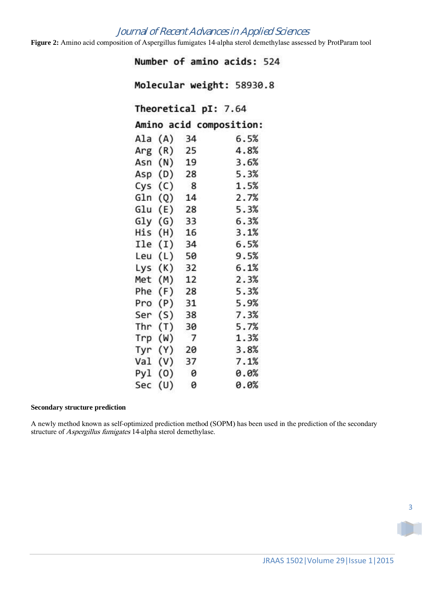# Journal of Recent Advances in Applied Sciences

**Figure 2:** Amino acid composition of Aspergillus fumigates 14-alpha sterol demethylase assessed by ProtParam tool

Number of amino acids: 524

Molecular weight: 58930.8

Theoretical pI: 7.64

Amino acid composition:

| Ala | (A) | 34             | 6.5% |
|-----|-----|----------------|------|
| Arg | (R) | 25             | 4.8% |
| Asn | (N) | 19             | 3.6% |
| Asp | (D) | 28             | 5.3% |
| Cys | (C) | 8              | 1.5% |
| Gln | (Q) | 14             | 2.7% |
| Glu | (E) | 28             | 5.3% |
| Gly | (G) | 33             | 6.3% |
| His | (H) | 16             | 3.1% |
| Ile | (1) | 34             | 6.5% |
| Leu | (L) | 50             | 9.5% |
| Lys | (K) | 32             | 6.1% |
| Met | (M) | 12             | 2.3% |
| Phe | (F) | 28             | 5.3% |
| Pro | (P) | 31             | 5.9% |
| Ser | (S) | 38             | 7.3% |
| Thr | (T) | 30             | 5.7% |
| Trp | (W) | $\overline{7}$ | 1.3% |
| Tyr | (Y) | 20             | 3.8% |
| Val | (V) | 37             | 7.1% |
| Pyl | (0) | $\theta$       | 0.0% |
| Sec | (U) | 0              | 0.0% |

## **Secondary structure prediction**

A newly method known as self-optimized prediction method (SOPM) has been used in the prediction of the secondary structure of Aspergillus fumigates 14-alpha sterol demethylase.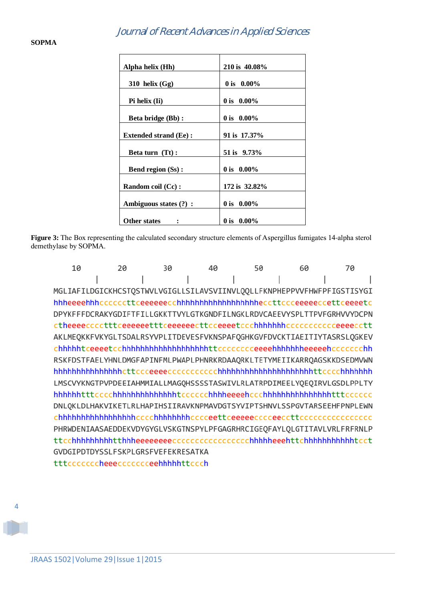| Alpha helix (Hh)             | 210 is 40.08% |
|------------------------------|---------------|
|                              |               |
| 310 helix $(Gg)$             | 0 is $0.00\%$ |
|                              |               |
| Pi helix (Ii)                | 0 is $0.00\%$ |
|                              |               |
| <b>Beta bridge (Bb):</b>     | 0 is $0.00\%$ |
|                              |               |
| <b>Extended strand (Ee):</b> | 91 is 17.37%  |
|                              |               |
| Beta turn (Tt):              | 51 is 9.73%   |
|                              |               |
| <b>Bend region (Ss):</b>     | 0 is $0.00\%$ |
|                              |               |
| Random coil (Cc):            | 172 is 32.82% |
|                              |               |
| Ambiguous states (?) :       | 0 is $0.00\%$ |
|                              |               |
| Other states                 | 0 is $0.00\%$ |

**Figure 3:** The Box representing the calculated secondary structure elements of Aspergillus fumigates 14-alpha sterol demethylase by SOPMA.

10 20 30 40 50 60 70  $\overline{\phantom{a}}$ I  $\overline{\phantom{a}}$ MGLIAFILDGICKHCSTQSTWVLVGIGLLSILAVSVIINVLQQLLFKNPHEPPVVFHWFPFIGSTISYGI DPYKFFFDCRAKYGDIFTFILLGKKTTVYLGTKGNDFILNGKLRDVCAEEVYSPLTTPVFGRHVVYDCPN AKLMEQKKFVKYGLTSDALRSYVPLITDEVESFVKNSPAFQGHKGVFDVCKTIAEITIYTASRSLQGKEV chhhhhtceeeetcchhhhhhhhhhhhhhhhhhttccccccceeeehhhhhhheeeeehccccccchh RSKFDSTFAELYHNLDMGFAPINFMLPWAPLPHNRKRDAAORKLTETYMEIIKARROAGSKKDSEDMVWN LMSCVYKNGTPVPDEEIAHMMIALLMAGOHSSSSTASWIVLRLATRPDIMEELYQEQIRVLGSDLPPLTY DNLOKLDLHAKVIKETLRLHAPIHSIIRAVKNPMAVDGTSYVIPTSHNVLSSPGVTARSEEHFPNPLEWN PHRWDENIAASAEDDEKVDYGYGLVSKGTNSPYLPFGAGRHRCIGEQFAYLQLGTITAVLVRLFRFRNLP GVDGIPDTDYSSLFSKPLGRSFVEFEKRESATKA tttcccccccheeecccccceehhhhhttccch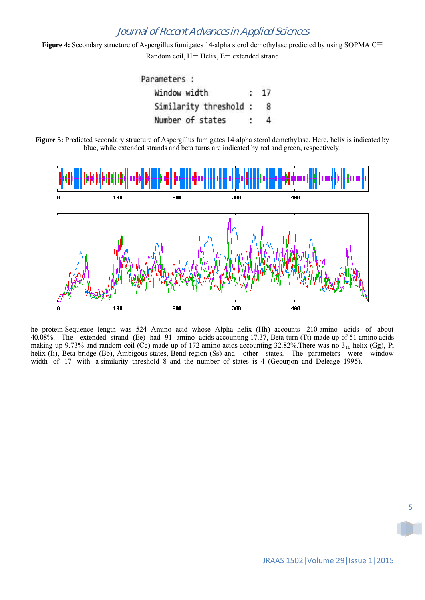# Journal of Recent Advances in Applied Sciences

Figure 4: Secondary structure of Aspergillus fumigates 14-alpha sterol demethylase predicted by using SOPMA C<sup>=</sup> Random coil,  $H=$  Helix,  $E=$  extended strand



**Figure 5:** Predicted secondary structure of Aspergillus fumigates 14-alpha sterol demethylase. Here, helix is indicated by blue, while extended strands and beta turns are indicated by red and green, respectively.



he protein Sequence length was 524 Amino acid whose Alpha helix (Hh) accounts 210 amino acids of about 40.08%. The extended strand (Ee) had 91 amino acids accounting 17.37, Beta turn (Tt) made up of 51 amino acids making up 9.73% and random coil (Cc) made up of 172 amino acids accounting 32.82%. There was no  $3_{10}$  helix (Gg), Pi helix (Ii), Beta bridge (Bb), Ambigous states, Bend region (Ss) and other states. The parameters were window width of 17 with a similarity threshold 8 and the number of states is 4 (Geourjon and Deleage 1995).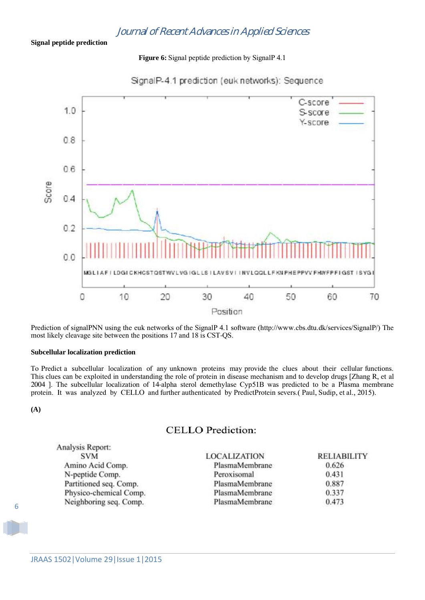**Figure 6:** Signal peptide prediction by SignalP 4.1



SignalP-4.1 prediction (euk networks): Sequence

Prediction of signalPNN using the euk networks of the SignalP 4.1 software (http://www.cbs.dtu.dk/services/SignalP/) The most likely cleavage site between the positions 17 and 18 is CST-QS.

## **Subcellular localization prediction**

To Predict a subcellular localization of any unknown proteins may provide the clues about their cellular functions. This clues can be exploited in understanding the role of protein in disease mechanism and to develop drugs [Zhang R, et al 2004 ]. The subcellular localization of 14-alpha sterol demethylase Cyp51B was predicted to be a Plasma membrane protein. It was analyzed by CELLO and further authenticated by PredictProtein severs.( Paul, Sudip, et al., 2015).

**(A)**

# CELLO Prediction:

| <b>LOCALIZATION</b> | <b>RELIABILITY</b> |
|---------------------|--------------------|
| PlasmaMembrane      | 0.626              |
| Peroxisomal         | 0.431              |
| PlasmaMembrane      | 0.887              |
| PlasmaMembrane      | 0.337              |
| PlasmaMembrane      | 0.473              |
|                     |                    |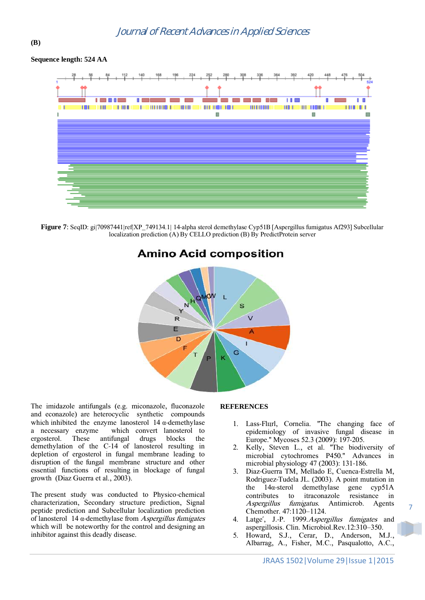## **Sequence length: 524 AA**

**(B)**



**Figure 7**: SeqID: gi|70987441|ref|XP\_749134.1| 14-alpha sterol demethylase Cyp51B [Aspergillus fumigatus Af293] Subcellular localization prediction (A) By CELLO prediction (B) By PredictProtein server



# **Amino Acid composition**

The imidazole antifungals (e.g. miconazole, fluconazole and econazole) are heterocyclic synthetic compounds which inhibited the enzyme lanosterol  $14 \alpha$ -demethylase a necessary enzyme which convert lanosterol to ergosterol. These antifungal drugs blocks the demethylation of the C-14 of lanosterol resulting in depletion of ergosterol in fungal membrane leading to disruption of the fungal membrane structure and other essential functions of resulting in blockage of fungal growth (Diaz Guerra et al., 2003).

The present study was conducted to Physico-chemical characterization, Secondary structure prediction, Signal peptide prediction and Subcellular localization prediction of lanosterol 14 α-demethylase from Aspergillus fumigates which will be noteworthy for the control and designing an inhibitor against this deadly disease.

## **REFERENCES**

- 1. Lass-Flurl, Cornelia. "The changing face of epidemiology of invasive fungal disease in Europe." Mycoses 52.3 (2009): 197-205.
- 2. Kelly, Steven L., et al. "The biodiversity of microbial cytochromes P450." Advances in microbial physiology 47 (2003): 131-186.
- 3. Diaz-Guerra TM, Mellado E, Cuenca-Estrella M, Rodriguez-Tudela JL. (2003). A point mutation in the 14α-sterol demethylase gene cyp51A contributes to itraconazole resistance in Aspergillus fumigatus. Antimicrob. Agents Chemother. 47:1120–1124.
- 4. Latge´, J.-P. 1999.Aspergillus fumigates and aspergillosis. Clin. Microbiol.Rev.12:310–350.
- 5. Howard, S.J., Cerar, D., Anderson, M.J., Albarrag, A., Fisher, M.C., Pasqualotto, A.C.,